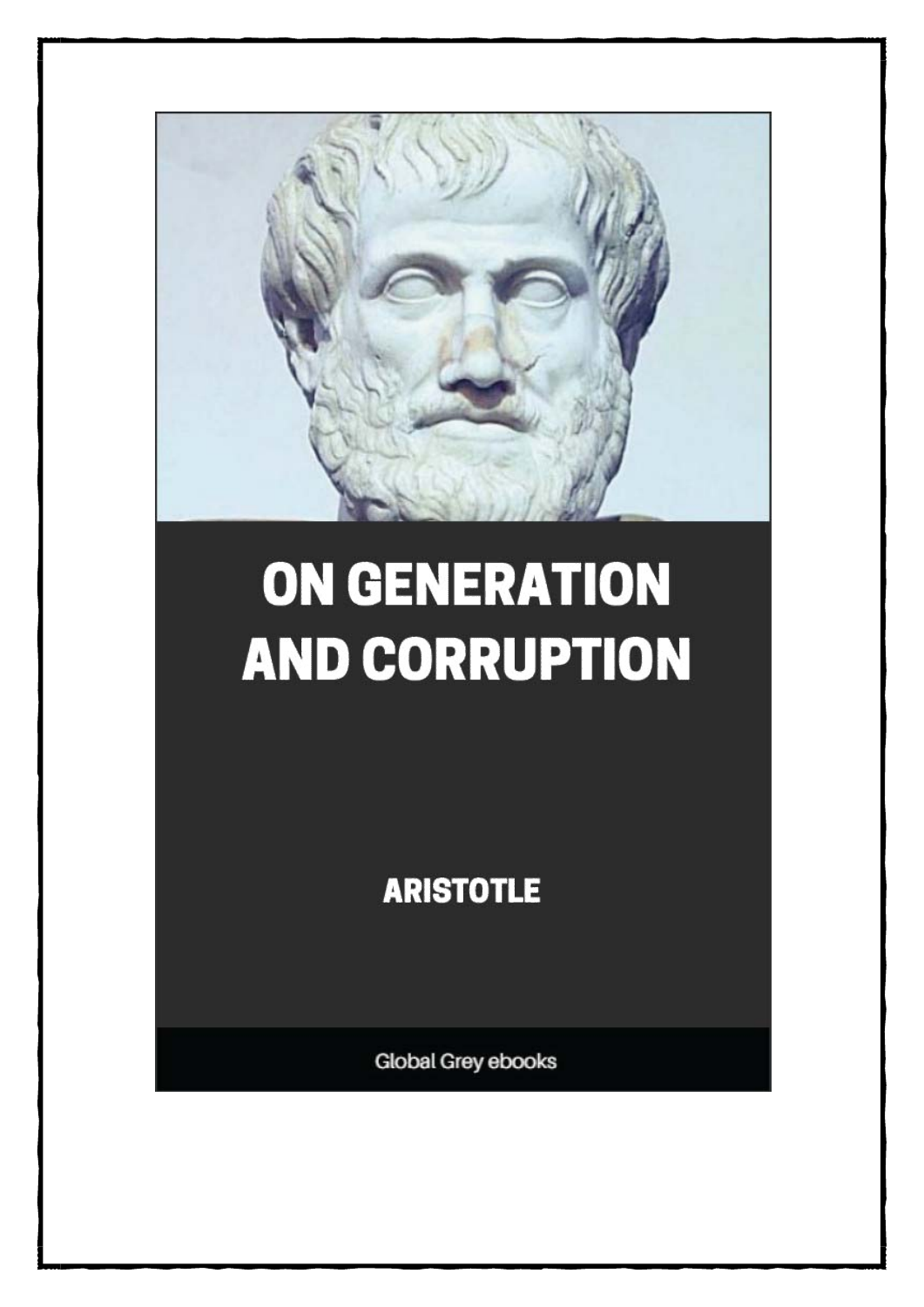

# ON GENERATION **AND CORRUPTION**

**ARISTOTLE** 

Global Grey ebooks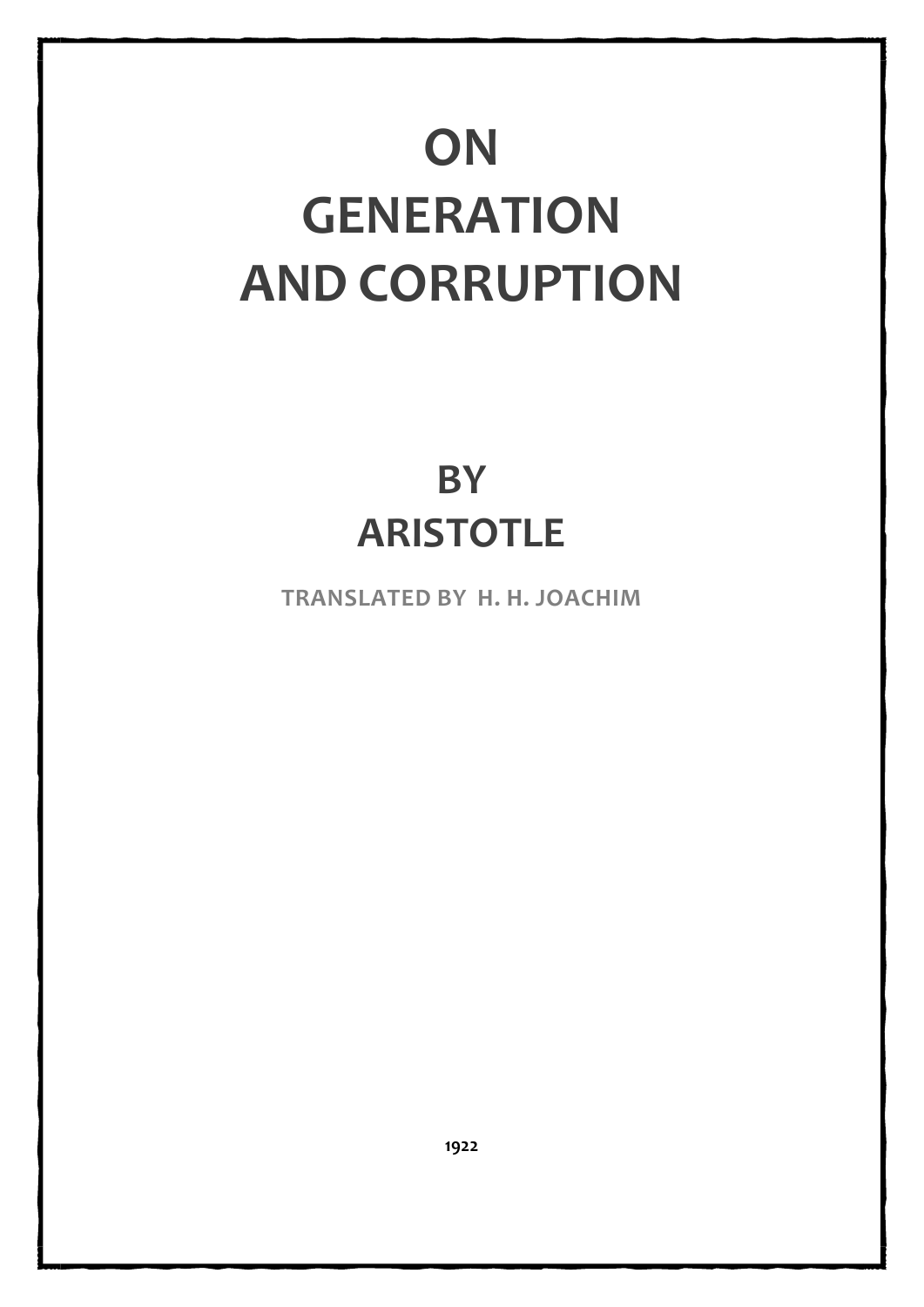## **ON GENERATION AND CORRUPTION**

## **BY ARISTOTLE**

**TRANSLATED BY H. H. JOACHIM**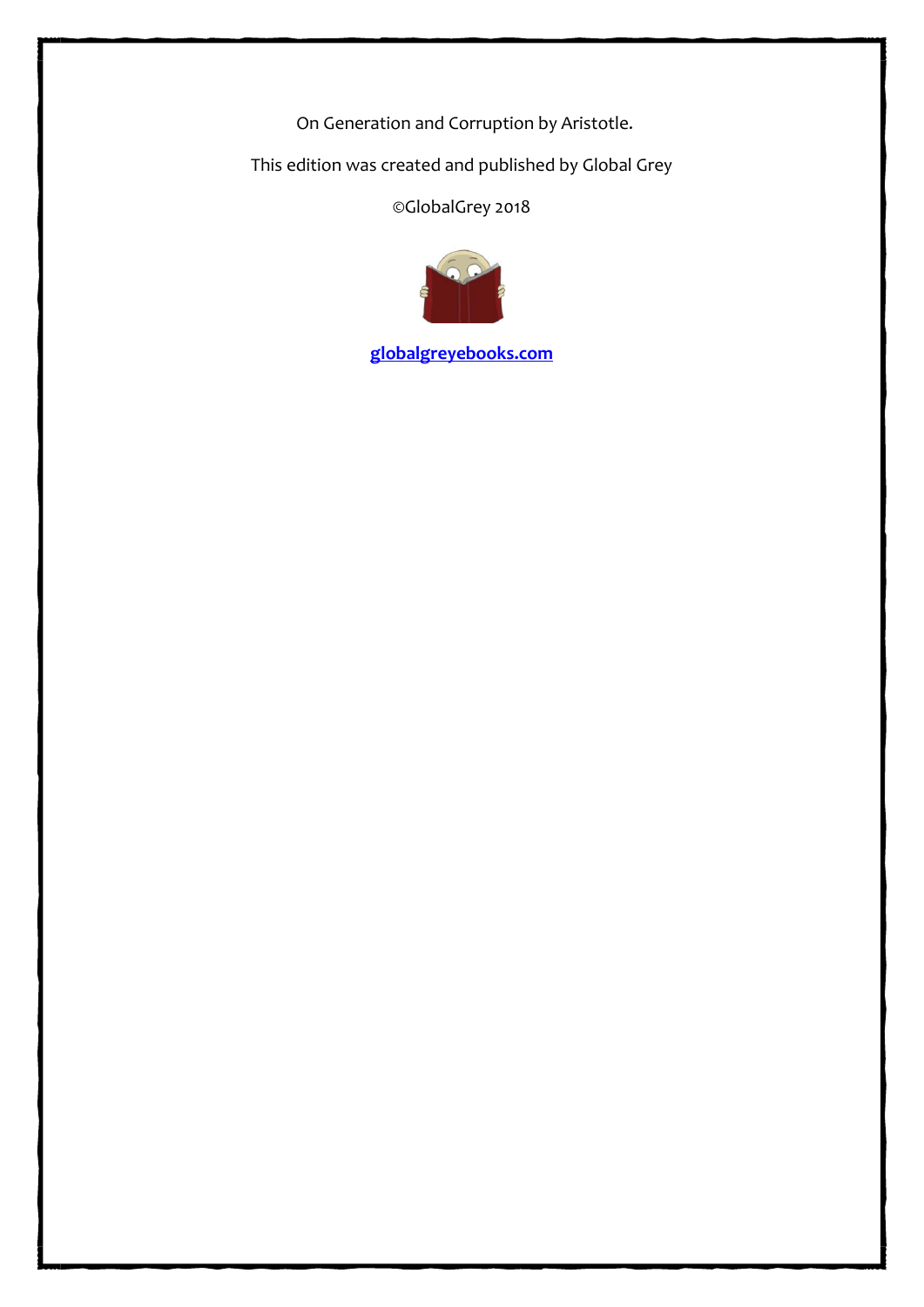On Generation and Corruption by Aristotle.

This edition was created and published by Global Grey

©GlobalGrey 2018



**[globalgreyebooks.com](https://www.globalgreyebooks.com/)**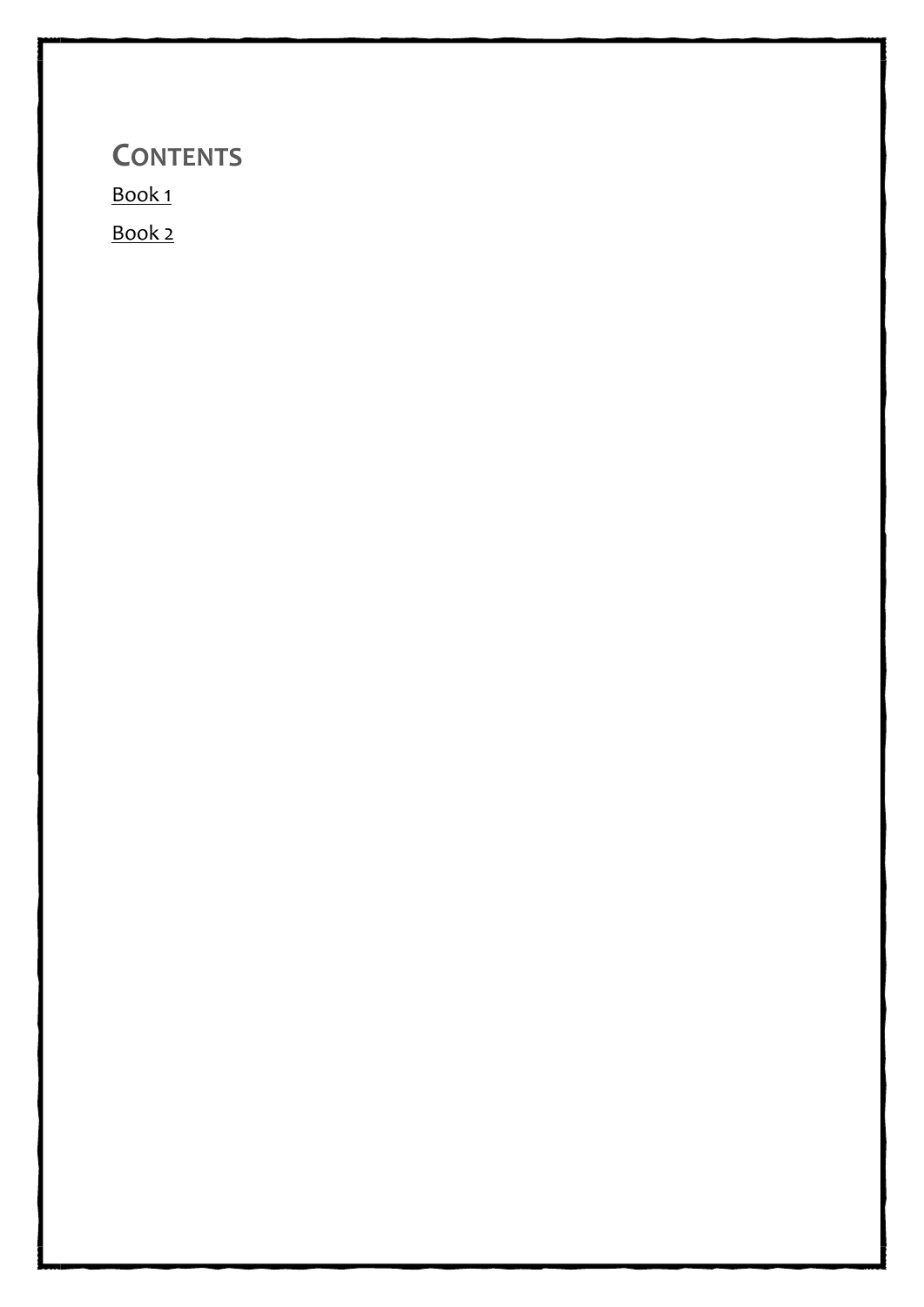## **CONTENTS**

[Book 1](#page-4-0)

[Book 2](#page-44-0)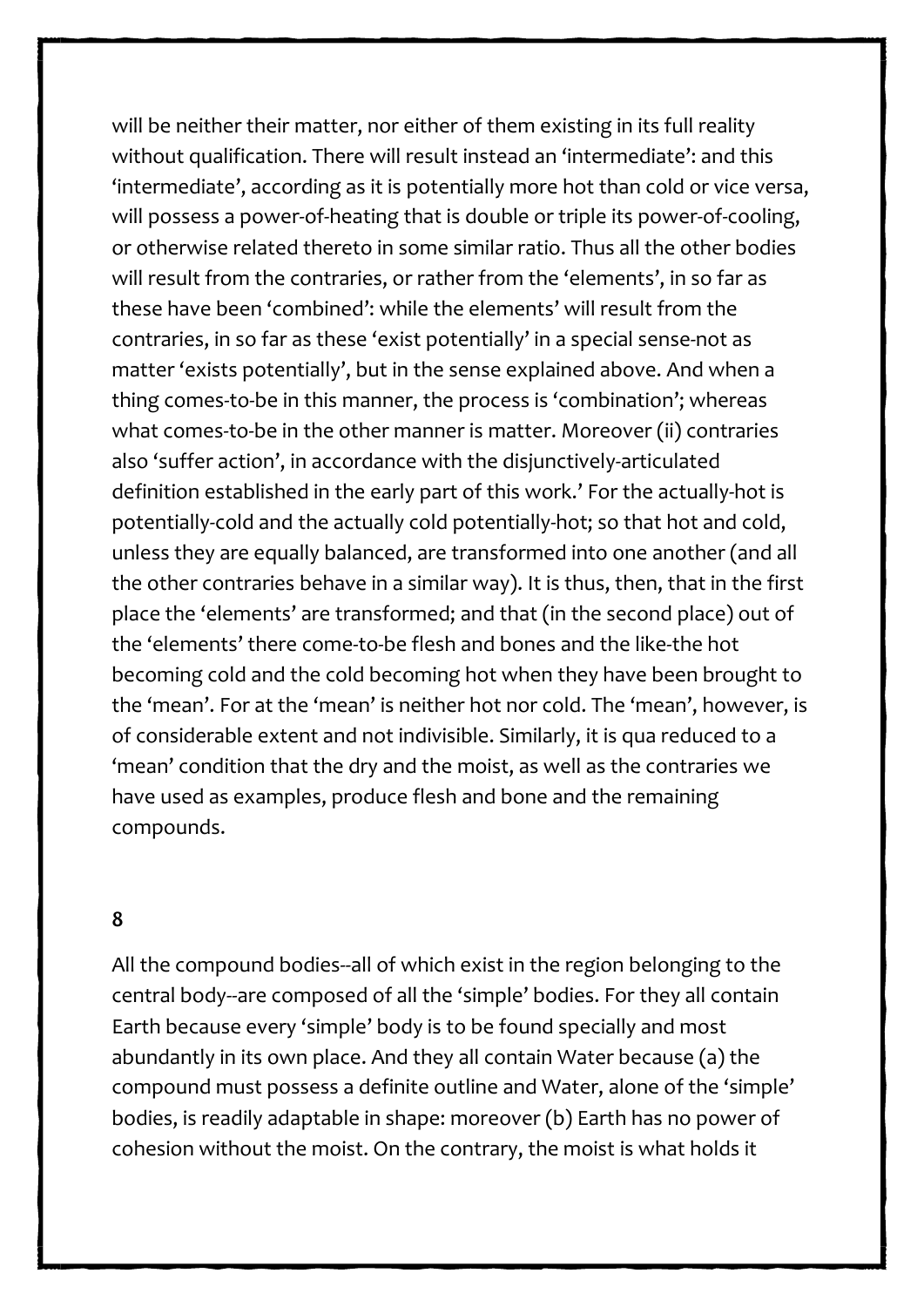will be neither their matter, nor either of them existing in its full reality without qualification. There will result instead an 'intermediate': and this 'intermediate', according as it is potentially more hot than cold or vice versa, will possess a power-of-heating that is double or triple its power-of-cooling, or otherwise related thereto in some similar ratio. Thus all the other bodies will result from the contraries, or rather from the 'elements', in so far as these have been 'combined': while the elements' will result from the contraries, in so far as these 'exist potentially' in a special sense-not as matter 'exists potentially', but in the sense explained above. And when a thing comes-to-be in this manner, the process is 'combination'; whereas what comes-to-be in the other manner is matter. Moreover (ii) contraries also 'suffer action', in accordance with the disjunctively-articulated definition established in the early part of this work.' For the actually-hot is potentially-cold and the actually cold potentially-hot; so that hot and cold, unless they are equally balanced, are transformed into one another (and all the other contraries behave in a similar way). It is thus, then, that in the first place the 'elements' are transformed; and that (in the second place) out of the 'elements' there come-to-be flesh and bones and the like-the hot becoming cold and the cold becoming hot when they have been brought to the 'mean'. For at the 'mean' is neither hot nor cold. The 'mean', however, is of considerable extent and not indivisible. Similarly, it is qua reduced to a 'mean' condition that the dry and the moist, as well as the contraries we have used as examples, produce flesh and bone and the remaining compounds.

### **8**

All the compound bodies--all of which exist in the region belonging to the central body--are composed of all the 'simple' bodies. For they all contain Earth because every 'simple' body is to be found specially and most abundantly in its own place. And they all contain Water because (a) the compound must possess a definite outline and Water, alone of the 'simple' bodies, is readily adaptable in shape: moreover (b) Earth has no power of cohesion without the moist. On the contrary, the moist is what holds it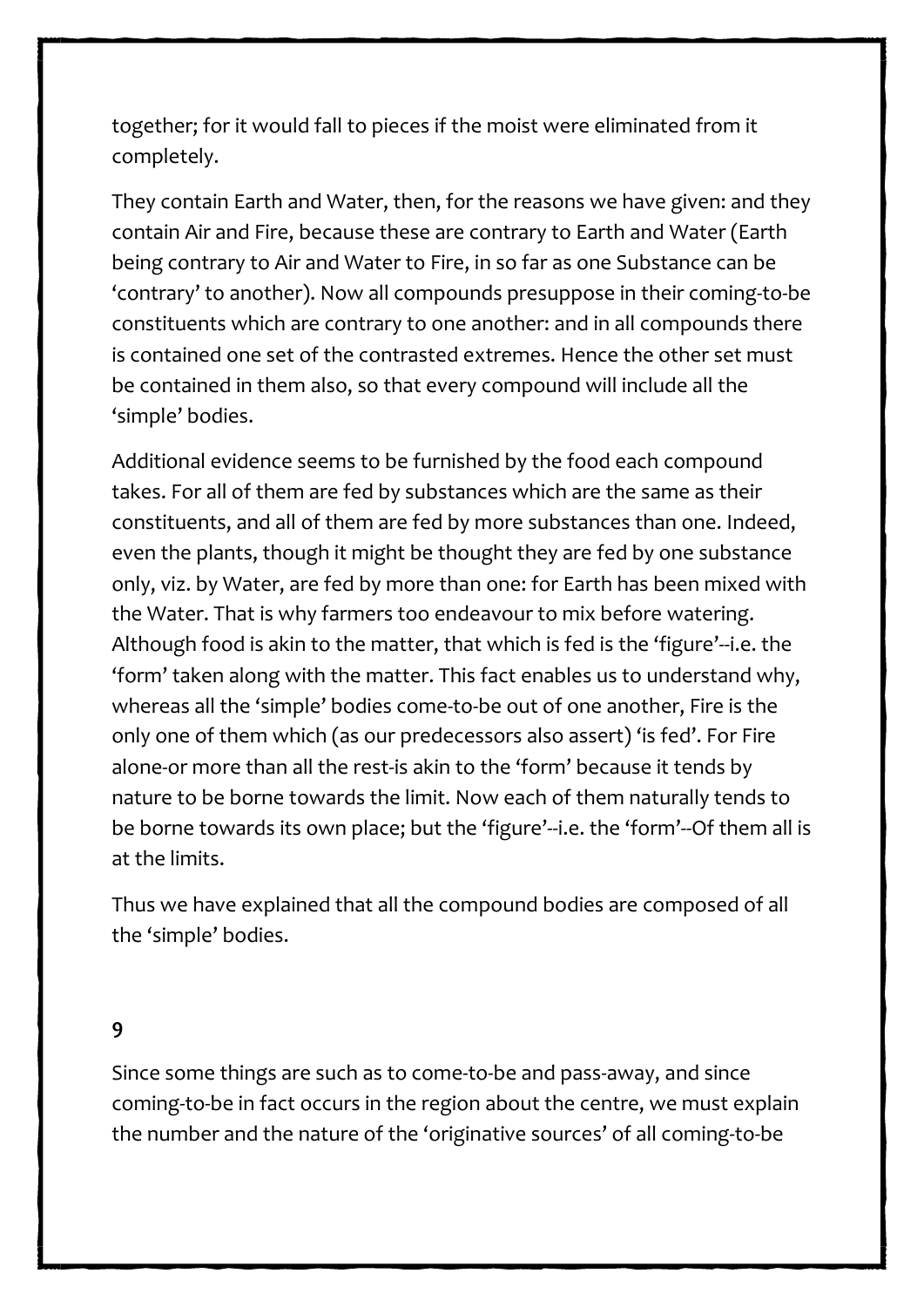together; for it would fall to pieces if the moist were eliminated from it completely.

They contain Earth and Water, then, for the reasons we have given: and they contain Air and Fire, because these are contrary to Earth and Water (Earth being contrary to Air and Water to Fire, in so far as one Substance can be 'contrary' to another). Now all compounds presuppose in their coming-to-be constituents which are contrary to one another: and in all compounds there is contained one set of the contrasted extremes. Hence the other set must be contained in them also, so that every compound will include all the 'simple' bodies.

Additional evidence seems to be furnished by the food each compound takes. For all of them are fed by substances which are the same as their constituents, and all of them are fed by more substances than one. Indeed, even the plants, though it might be thought they are fed by one substance only, viz. by Water, are fed by more than one: for Earth has been mixed with the Water. That is why farmers too endeavour to mix before watering. Although food is akin to the matter, that which is fed is the 'figure'--i.e. the 'form' taken along with the matter. This fact enables us to understand why, whereas all the 'simple' bodies come-to-be out of one another, Fire is the only one of them which (as our predecessors also assert) 'is fed'. For Fire alone-or more than all the rest-is akin to the 'form' because it tends by nature to be borne towards the limit. Now each of them naturally tends to be borne towards its own place; but the 'figure'--i.e. the 'form'--Of them all is at the limits.

Thus we have explained that all the compound bodies are composed of all the 'simple' bodies.

**9** 

Since some things are such as to come-to-be and pass-away, and since coming-to-be in fact occurs in the region about the centre, we must explain the number and the nature of the 'originative sources' of all coming-to-be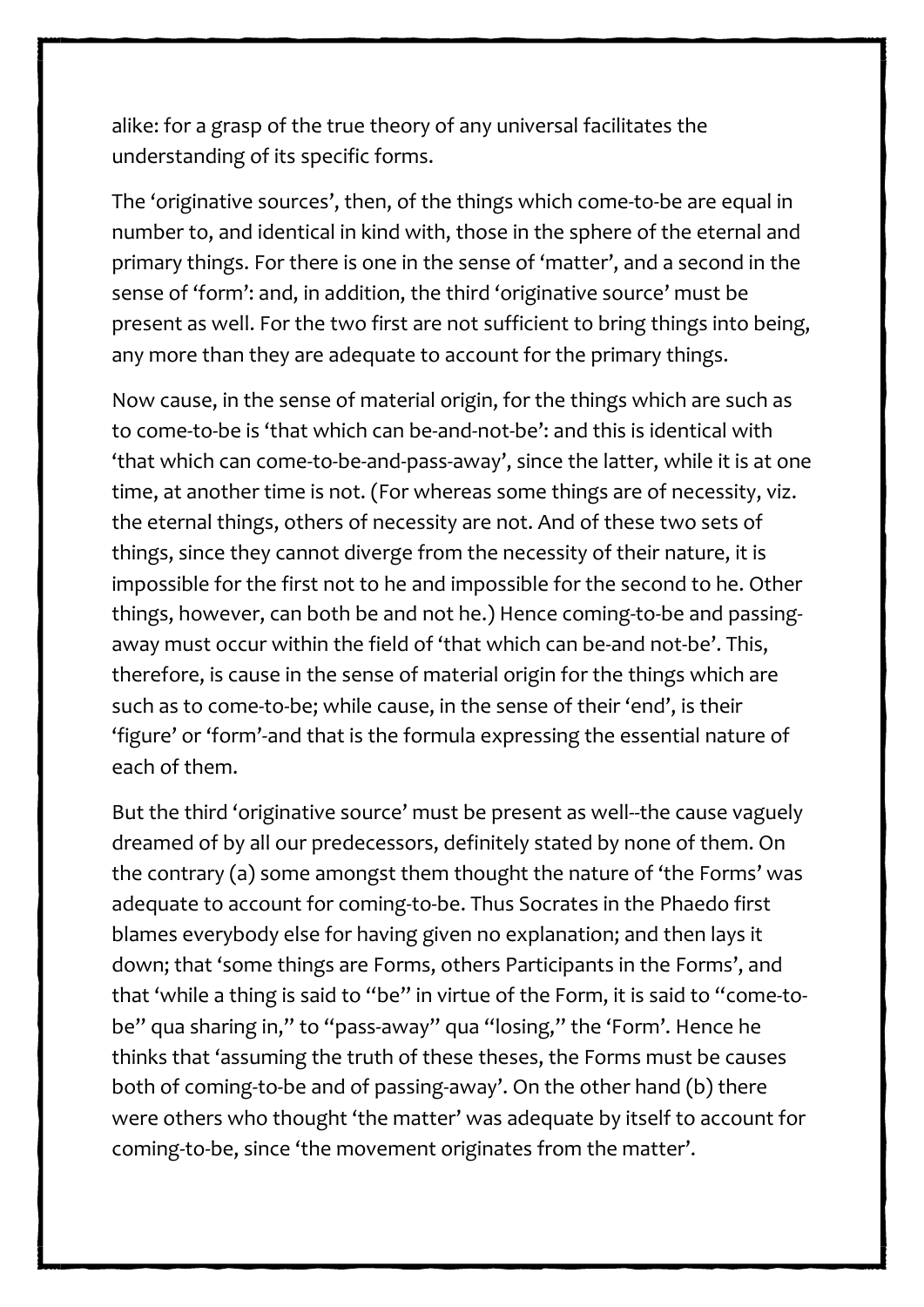alike: for a grasp of the true theory of any universal facilitates the understanding of its specific forms.

The 'originative sources', then, of the things which come-to-be are equal in number to, and identical in kind with, those in the sphere of the eternal and primary things. For there is one in the sense of 'matter', and a second in the sense of 'form': and, in addition, the third 'originative source' must be present as well. For the two first are not sufficient to bring things into being, any more than they are adequate to account for the primary things.

Now cause, in the sense of material origin, for the things which are such as to come-to-be is 'that which can be-and-not-be': and this is identical with 'that which can come-to-be-and-pass-away', since the latter, while it is at one time, at another time is not. (For whereas some things are of necessity, viz. the eternal things, others of necessity are not. And of these two sets of things, since they cannot diverge from the necessity of their nature, it is impossible for the first not to he and impossible for the second to he. Other things, however, can both be and not he.) Hence coming-to-be and passingaway must occur within the field of 'that which can be-and not-be'. This, therefore, is cause in the sense of material origin for the things which are such as to come-to-be; while cause, in the sense of their 'end', is their 'figure' or 'form'-and that is the formula expressing the essential nature of each of them.

But the third 'originative source' must be present as well--the cause vaguely dreamed of by all our predecessors, definitely stated by none of them. On the contrary (a) some amongst them thought the nature of 'the Forms' was adequate to account for coming-to-be. Thus Socrates in the Phaedo first blames everybody else for having given no explanation; and then lays it down; that 'some things are Forms, others Participants in the Forms', and that 'while a thing is said to "be" in virtue of the Form, it is said to "come-tobe" qua sharing in," to "pass-away" qua "losing," the 'Form'. Hence he thinks that 'assuming the truth of these theses, the Forms must be causes both of coming-to-be and of passing-away'. On the other hand (b) there were others who thought 'the matter' was adequate by itself to account for coming-to-be, since 'the movement originates from the matter'.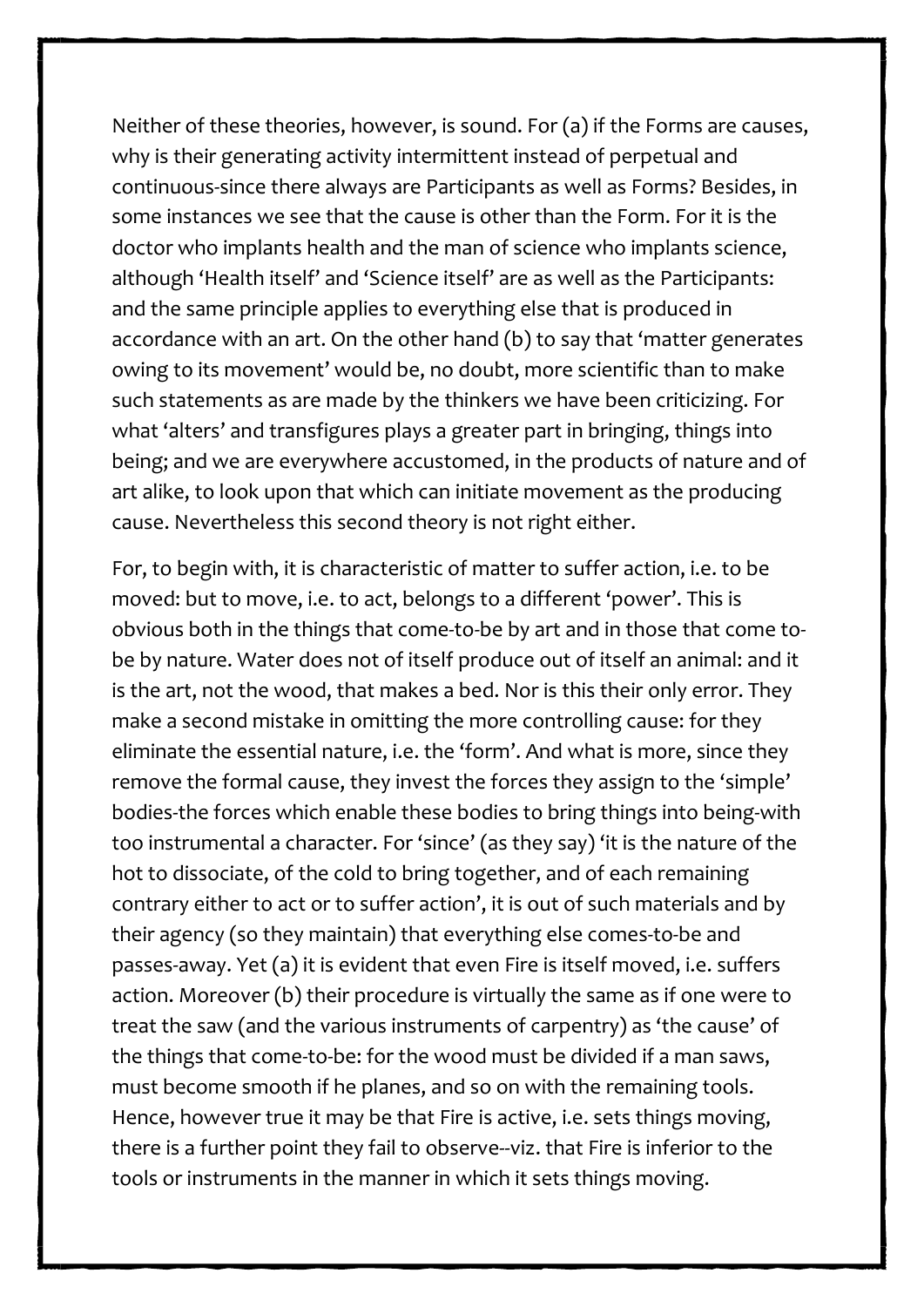Neither of these theories, however, is sound. For (a) if the Forms are causes, why is their generating activity intermittent instead of perpetual and continuous-since there always are Participants as well as Forms? Besides, in some instances we see that the cause is other than the Form. For it is the doctor who implants health and the man of science who implants science, although 'Health itself' and 'Science itself' are as well as the Participants: and the same principle applies to everything else that is produced in accordance with an art. On the other hand (b) to say that 'matter generates owing to its movement' would be, no doubt, more scientific than to make such statements as are made by the thinkers we have been criticizing. For what 'alters' and transfigures plays a greater part in bringing, things into being; and we are everywhere accustomed, in the products of nature and of art alike, to look upon that which can initiate movement as the producing cause. Nevertheless this second theory is not right either.

For, to begin with, it is characteristic of matter to suffer action, i.e. to be moved: but to move, i.e. to act, belongs to a different 'power'. This is obvious both in the things that come-to-be by art and in those that come tobe by nature. Water does not of itself produce out of itself an animal: and it is the art, not the wood, that makes a bed. Nor is this their only error. They make a second mistake in omitting the more controlling cause: for they eliminate the essential nature, i.e. the 'form'. And what is more, since they remove the formal cause, they invest the forces they assign to the 'simple' bodies-the forces which enable these bodies to bring things into being-with too instrumental a character. For 'since' (as they say) 'it is the nature of the hot to dissociate, of the cold to bring together, and of each remaining contrary either to act or to suffer action', it is out of such materials and by their agency (so they maintain) that everything else comes-to-be and passes-away. Yet (a) it is evident that even Fire is itself moved, i.e. suffers action. Moreover (b) their procedure is virtually the same as if one were to treat the saw (and the various instruments of carpentry) as 'the cause' of the things that come-to-be: for the wood must be divided if a man saws, must become smooth if he planes, and so on with the remaining tools. Hence, however true it may be that Fire is active, i.e. sets things moving, there is a further point they fail to observe--viz. that Fire is inferior to the tools or instruments in the manner in which it sets things moving.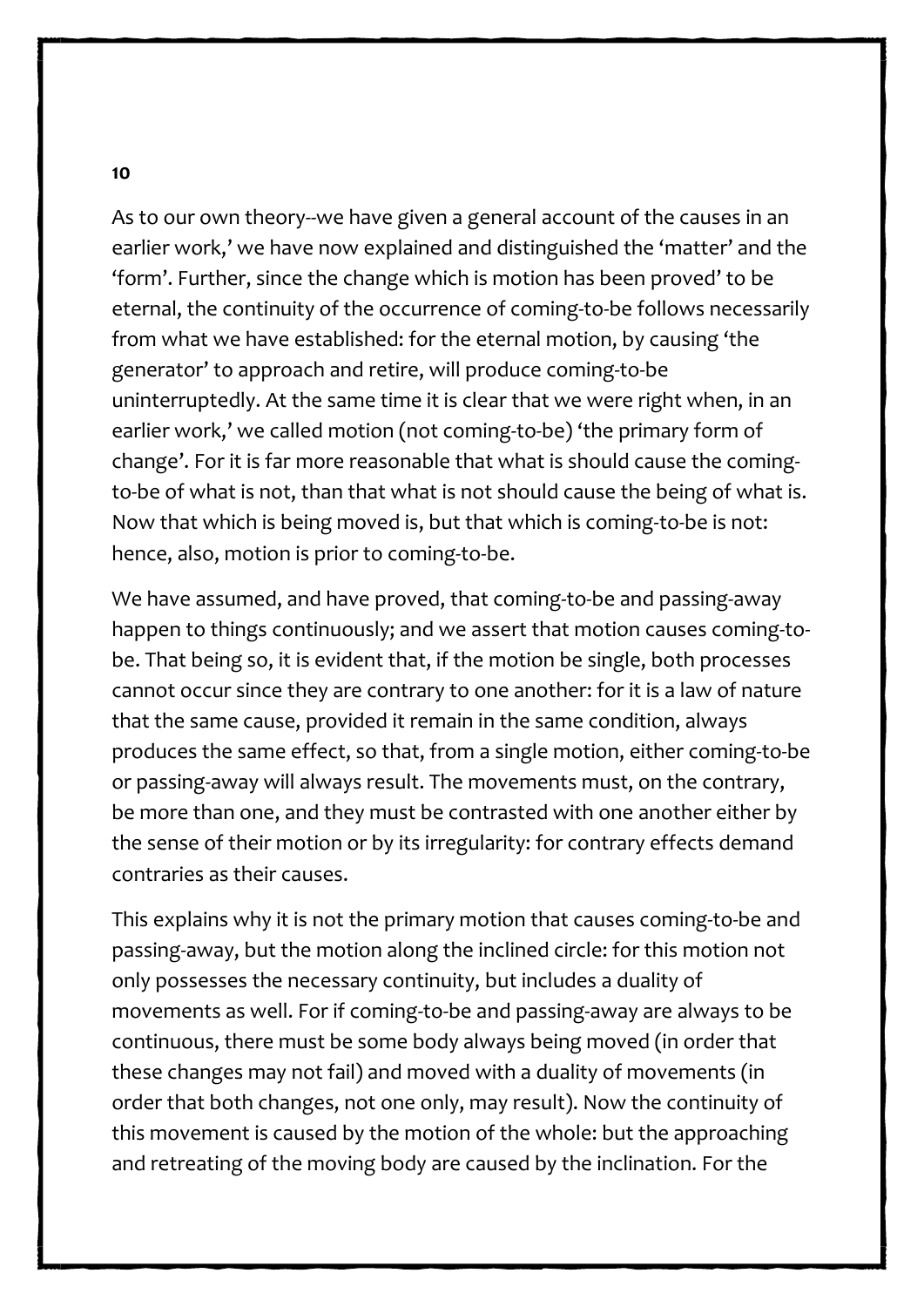#### **10**

As to our own theory--we have given a general account of the causes in an earlier work,' we have now explained and distinguished the 'matter' and the 'form'. Further, since the change which is motion has been proved' to be eternal, the continuity of the occurrence of coming-to-be follows necessarily from what we have established: for the eternal motion, by causing 'the generator' to approach and retire, will produce coming-to-be uninterruptedly. At the same time it is clear that we were right when, in an earlier work,' we called motion (not coming-to-be) 'the primary form of change'. For it is far more reasonable that what is should cause the comingto-be of what is not, than that what is not should cause the being of what is. Now that which is being moved is, but that which is coming-to-be is not: hence, also, motion is prior to coming-to-be.

We have assumed, and have proved, that coming-to-be and passing-away happen to things continuously; and we assert that motion causes coming-tobe. That being so, it is evident that, if the motion be single, both processes cannot occur since they are contrary to one another: for it is a law of nature that the same cause, provided it remain in the same condition, always produces the same effect, so that, from a single motion, either coming-to-be or passing-away will always result. The movements must, on the contrary, be more than one, and they must be contrasted with one another either by the sense of their motion or by its irregularity: for contrary effects demand contraries as their causes.

This explains why it is not the primary motion that causes coming-to-be and passing-away, but the motion along the inclined circle: for this motion not only possesses the necessary continuity, but includes a duality of movements as well. For if coming-to-be and passing-away are always to be continuous, there must be some body always being moved (in order that these changes may not fail) and moved with a duality of movements (in order that both changes, not one only, may result). Now the continuity of this movement is caused by the motion of the whole: but the approaching and retreating of the moving body are caused by the inclination. For the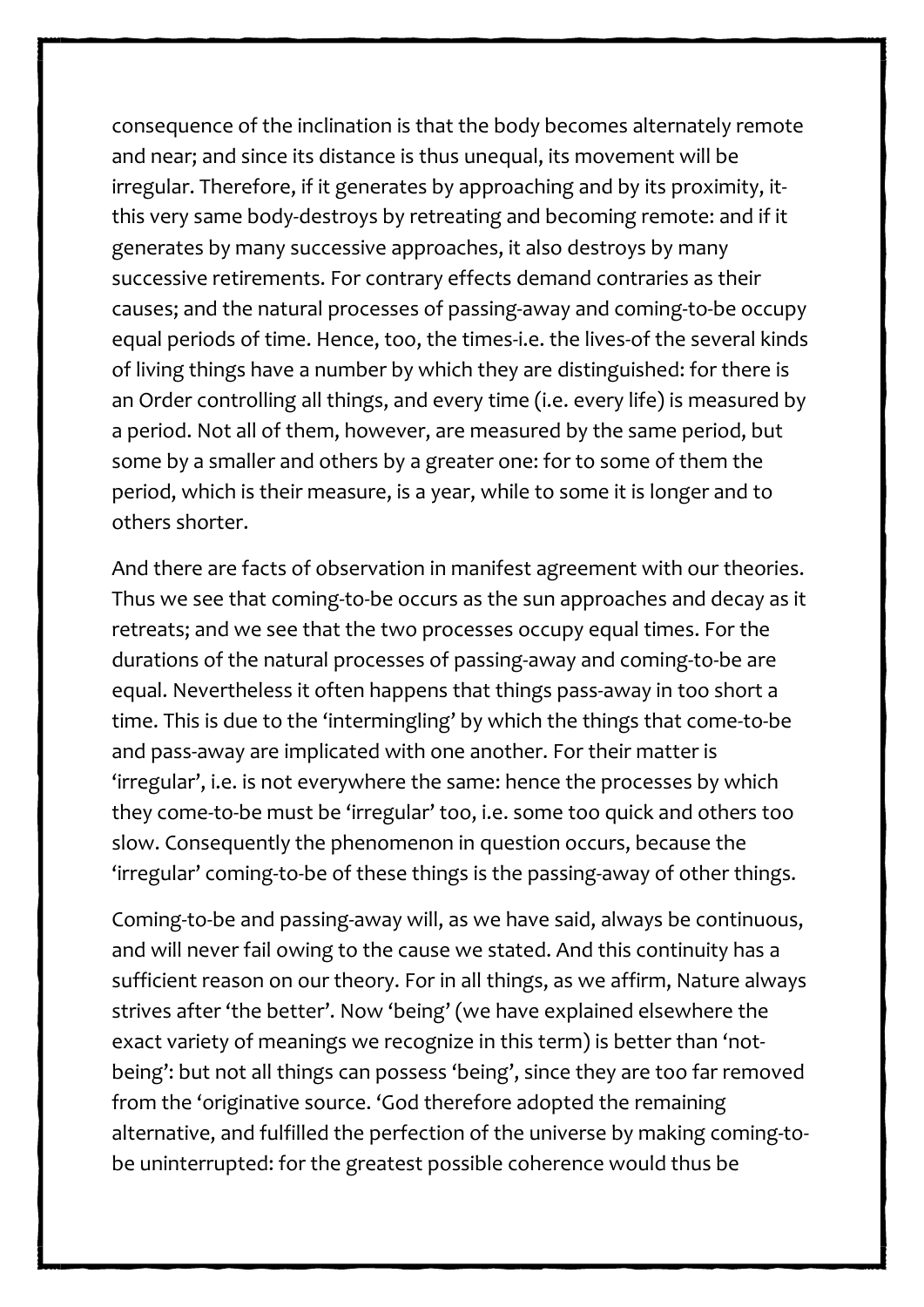consequence of the inclination is that the body becomes alternately remote and near; and since its distance is thus unequal, its movement will be irregular. Therefore, if it generates by approaching and by its proximity, itthis very same body-destroys by retreating and becoming remote: and if it generates by many successive approaches, it also destroys by many successive retirements. For contrary effects demand contraries as their causes; and the natural processes of passing-away and coming-to-be occupy equal periods of time. Hence, too, the times-i.e. the lives-of the several kinds of living things have a number by which they are distinguished: for there is an Order controlling all things, and every time (i.e. every life) is measured by a period. Not all of them, however, are measured by the same period, but some by a smaller and others by a greater one: for to some of them the period, which is their measure, is a year, while to some it is longer and to others shorter.

And there are facts of observation in manifest agreement with our theories. Thus we see that coming-to-be occurs as the sun approaches and decay as it retreats; and we see that the two processes occupy equal times. For the durations of the natural processes of passing-away and coming-to-be are equal. Nevertheless it often happens that things pass-away in too short a time. This is due to the 'intermingling' by which the things that come-to-be and pass-away are implicated with one another. For their matter is 'irregular', i.e. is not everywhere the same: hence the processes by which they come-to-be must be 'irregular' too, i.e. some too quick and others too slow. Consequently the phenomenon in question occurs, because the 'irregular' coming-to-be of these things is the passing-away of other things.

Coming-to-be and passing-away will, as we have said, always be continuous, and will never fail owing to the cause we stated. And this continuity has a sufficient reason on our theory. For in all things, as we affirm, Nature always strives after 'the better'. Now 'being' (we have explained elsewhere the exact variety of meanings we recognize in this term) is better than 'notbeing': but not all things can possess 'being', since they are too far removed from the 'originative source. 'God therefore adopted the remaining alternative, and fulfilled the perfection of the universe by making coming-tobe uninterrupted: for the greatest possible coherence would thus be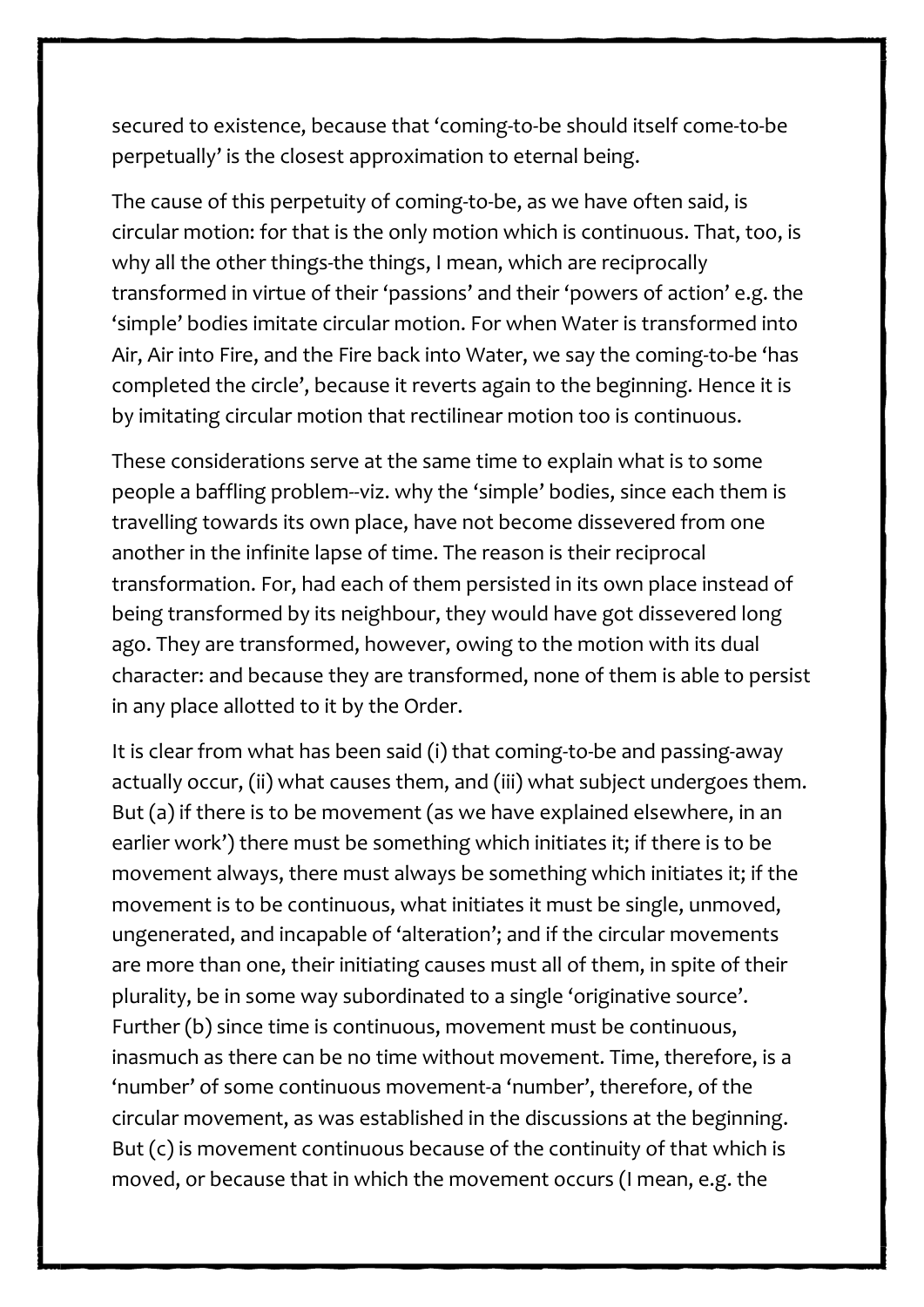secured to existence, because that 'coming-to-be should itself come-to-be perpetually' is the closest approximation to eternal being.

The cause of this perpetuity of coming-to-be, as we have often said, is circular motion: for that is the only motion which is continuous. That, too, is why all the other things-the things, I mean, which are reciprocally transformed in virtue of their 'passions' and their 'powers of action' e.g. the 'simple' bodies imitate circular motion. For when Water is transformed into Air, Air into Fire, and the Fire back into Water, we say the coming-to-be 'has completed the circle', because it reverts again to the beginning. Hence it is by imitating circular motion that rectilinear motion too is continuous.

These considerations serve at the same time to explain what is to some people a baffling problem--viz. why the 'simple' bodies, since each them is travelling towards its own place, have not become dissevered from one another in the infinite lapse of time. The reason is their reciprocal transformation. For, had each of them persisted in its own place instead of being transformed by its neighbour, they would have got dissevered long ago. They are transformed, however, owing to the motion with its dual character: and because they are transformed, none of them is able to persist in any place allotted to it by the Order.

It is clear from what has been said (i) that coming-to-be and passing-away actually occur, (ii) what causes them, and (iii) what subject undergoes them. But (a) if there is to be movement (as we have explained elsewhere, in an earlier work') there must be something which initiates it; if there is to be movement always, there must always be something which initiates it; if the movement is to be continuous, what initiates it must be single, unmoved, ungenerated, and incapable of 'alteration'; and if the circular movements are more than one, their initiating causes must all of them, in spite of their plurality, be in some way subordinated to a single 'originative source'. Further (b) since time is continuous, movement must be continuous, inasmuch as there can be no time without movement. Time, therefore, is a 'number' of some continuous movement-a 'number', therefore, of the circular movement, as was established in the discussions at the beginning. But (c) is movement continuous because of the continuity of that which is moved, or because that in which the movement occurs (I mean, e.g. the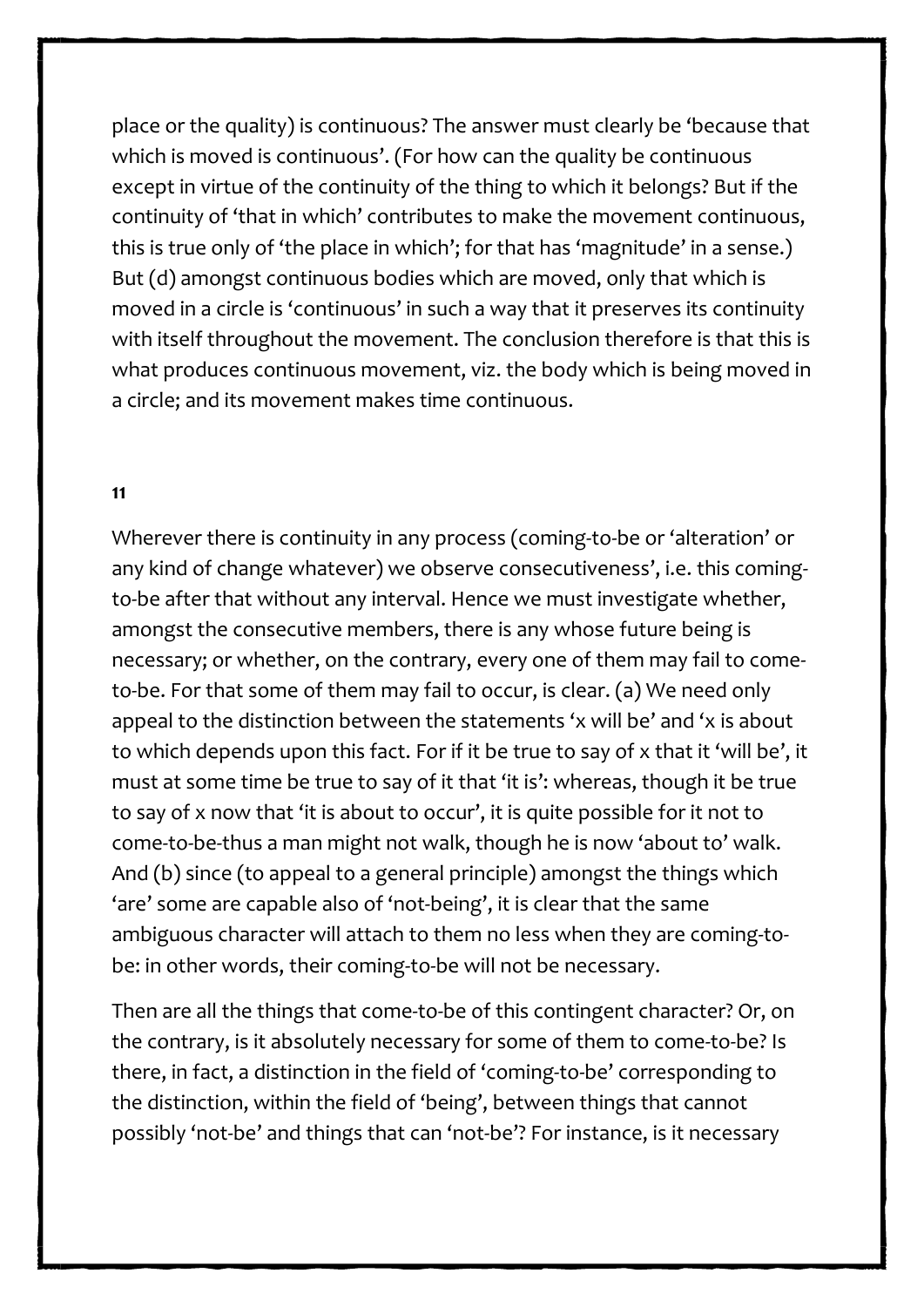place or the quality) is continuous? The answer must clearly be 'because that which is moved is continuous'. (For how can the quality be continuous except in virtue of the continuity of the thing to which it belongs? But if the continuity of 'that in which' contributes to make the movement continuous, this is true only of 'the place in which'; for that has 'magnitude' in a sense.) But (d) amongst continuous bodies which are moved, only that which is moved in a circle is 'continuous' in such a way that it preserves its continuity with itself throughout the movement. The conclusion therefore is that this is what produces continuous movement, viz. the body which is being moved in a circle; and its movement makes time continuous.

### **11**

Wherever there is continuity in any process (coming-to-be or 'alteration' or any kind of change whatever) we observe consecutiveness', i.e. this comingto-be after that without any interval. Hence we must investigate whether, amongst the consecutive members, there is any whose future being is necessary; or whether, on the contrary, every one of them may fail to cometo-be. For that some of them may fail to occur, is clear. (a) We need only appeal to the distinction between the statements 'x will be' and 'x is about to which depends upon this fact. For if it be true to say of x that it 'will be', it must at some time be true to say of it that 'it is': whereas, though it be true to say of x now that 'it is about to occur', it is quite possible for it not to come-to-be-thus a man might not walk, though he is now 'about to' walk. And (b) since (to appeal to a general principle) amongst the things which 'are' some are capable also of 'not-being', it is clear that the same ambiguous character will attach to them no less when they are coming-tobe: in other words, their coming-to-be will not be necessary.

Then are all the things that come-to-be of this contingent character? Or, on the contrary, is it absolutely necessary for some of them to come-to-be? Is there, in fact, a distinction in the field of 'coming-to-be' corresponding to the distinction, within the field of 'being', between things that cannot possibly 'not-be' and things that can 'not-be'? For instance, is it necessary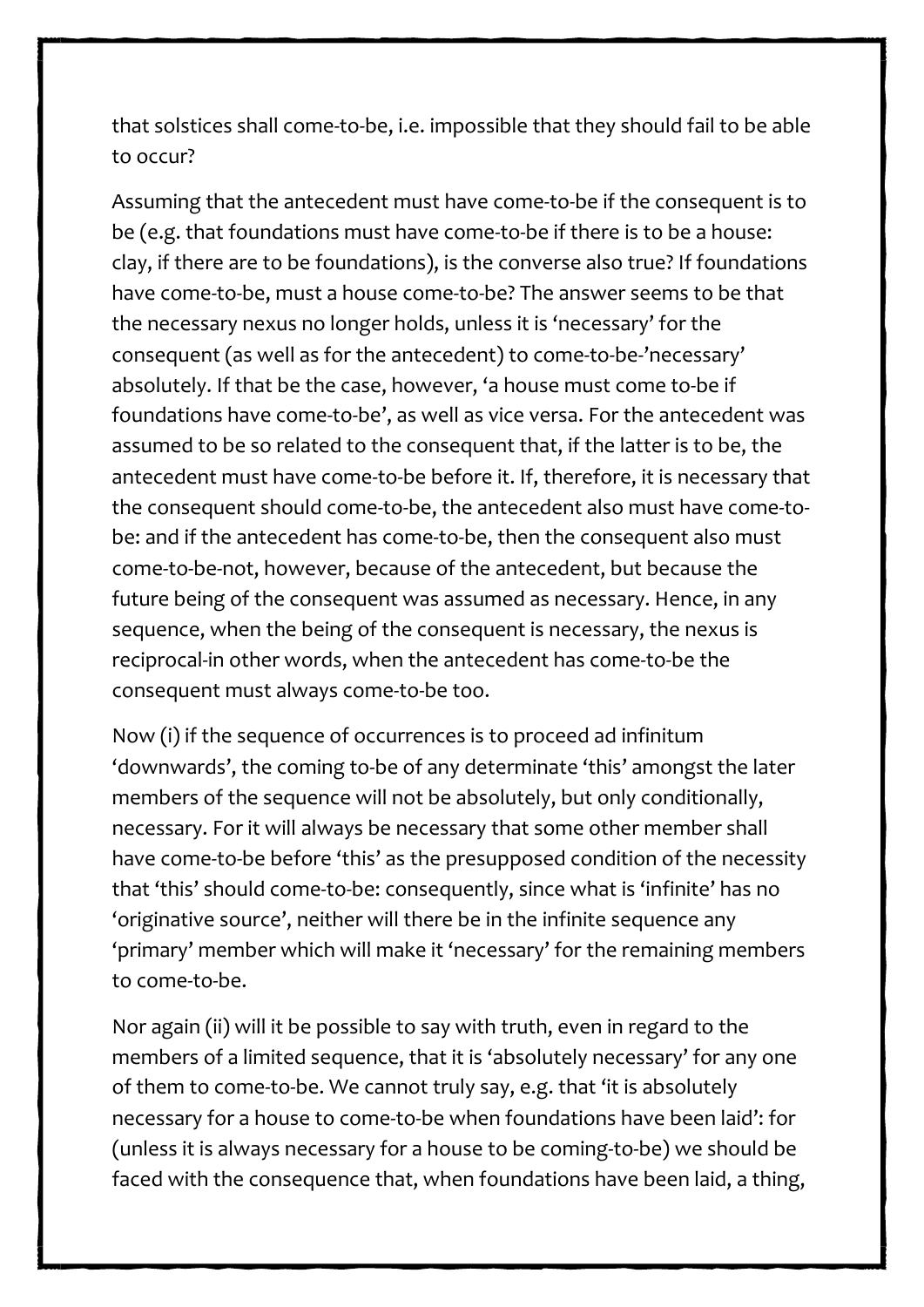that solstices shall come-to-be, i.e. impossible that they should fail to be able to occur?

Assuming that the antecedent must have come-to-be if the consequent is to be (e.g. that foundations must have come-to-be if there is to be a house: clay, if there are to be foundations), is the converse also true? If foundations have come-to-be, must a house come-to-be? The answer seems to be that the necessary nexus no longer holds, unless it is 'necessary' for the consequent (as well as for the antecedent) to come-to-be-'necessary' absolutely. If that be the case, however, 'a house must come to-be if foundations have come-to-be', as well as vice versa. For the antecedent was assumed to be so related to the consequent that, if the latter is to be, the antecedent must have come-to-be before it. If, therefore, it is necessary that the consequent should come-to-be, the antecedent also must have come-tobe: and if the antecedent has come-to-be, then the consequent also must come-to-be-not, however, because of the antecedent, but because the future being of the consequent was assumed as necessary. Hence, in any sequence, when the being of the consequent is necessary, the nexus is reciprocal-in other words, when the antecedent has come-to-be the consequent must always come-to-be too.

Now (i) if the sequence of occurrences is to proceed ad infinitum 'downwards', the coming to-be of any determinate 'this' amongst the later members of the sequence will not be absolutely, but only conditionally, necessary. For it will always be necessary that some other member shall have come-to-be before 'this' as the presupposed condition of the necessity that 'this' should come-to-be: consequently, since what is 'infinite' has no 'originative source', neither will there be in the infinite sequence any 'primary' member which will make it 'necessary' for the remaining members to come-to-be.

Nor again (ii) will it be possible to say with truth, even in regard to the members of a limited sequence, that it is 'absolutely necessary' for any one of them to come-to-be. We cannot truly say, e.g. that 'it is absolutely necessary for a house to come-to-be when foundations have been laid': for (unless it is always necessary for a house to be coming-to-be) we should be faced with the consequence that, when foundations have been laid, a thing,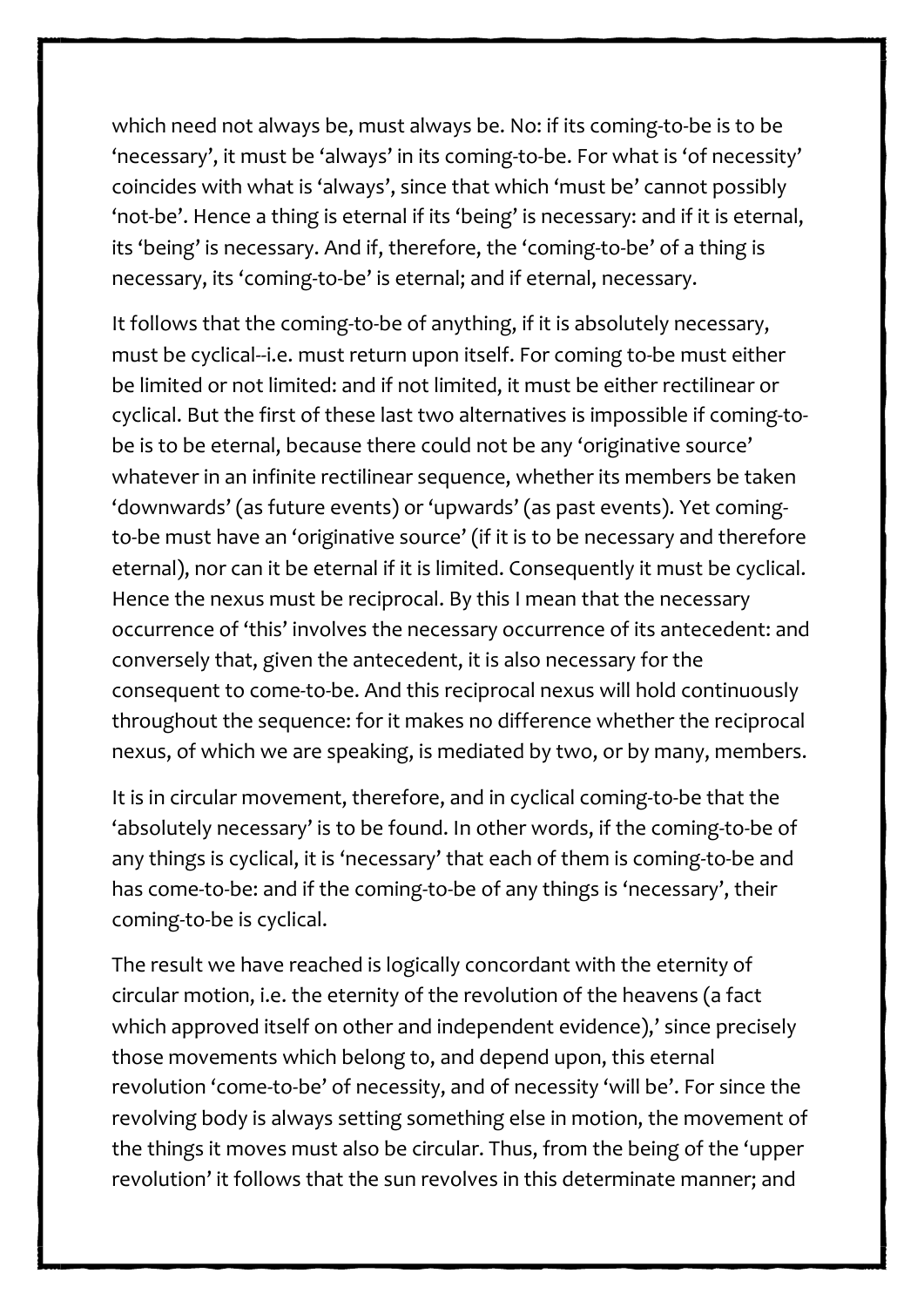which need not always be, must always be. No: if its coming-to-be is to be 'necessary', it must be 'always' in its coming-to-be. For what is 'of necessity' coincides with what is 'always', since that which 'must be' cannot possibly 'not-be'. Hence a thing is eternal if its 'being' is necessary: and if it is eternal, its 'being' is necessary. And if, therefore, the 'coming-to-be' of a thing is necessary, its 'coming-to-be' is eternal; and if eternal, necessary.

It follows that the coming-to-be of anything, if it is absolutely necessary, must be cyclical--i.e. must return upon itself. For coming to-be must either be limited or not limited: and if not limited, it must be either rectilinear or cyclical. But the first of these last two alternatives is impossible if coming-tobe is to be eternal, because there could not be any 'originative source' whatever in an infinite rectilinear sequence, whether its members be taken 'downwards' (as future events) or 'upwards' (as past events). Yet comingto-be must have an 'originative source' (if it is to be necessary and therefore eternal), nor can it be eternal if it is limited. Consequently it must be cyclical. Hence the nexus must be reciprocal. By this I mean that the necessary occurrence of 'this' involves the necessary occurrence of its antecedent: and conversely that, given the antecedent, it is also necessary for the consequent to come-to-be. And this reciprocal nexus will hold continuously throughout the sequence: for it makes no difference whether the reciprocal nexus, of which we are speaking, is mediated by two, or by many, members.

It is in circular movement, therefore, and in cyclical coming-to-be that the 'absolutely necessary' is to be found. In other words, if the coming-to-be of any things is cyclical, it is 'necessary' that each of them is coming-to-be and has come-to-be: and if the coming-to-be of any things is 'necessary', their coming-to-be is cyclical.

The result we have reached is logically concordant with the eternity of circular motion, i.e. the eternity of the revolution of the heavens (a fact which approved itself on other and independent evidence),' since precisely those movements which belong to, and depend upon, this eternal revolution 'come-to-be' of necessity, and of necessity 'will be'. For since the revolving body is always setting something else in motion, the movement of the things it moves must also be circular. Thus, from the being of the 'upper revolution' it follows that the sun revolves in this determinate manner; and